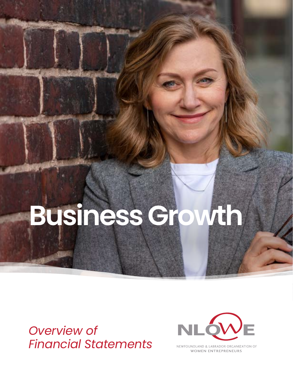# **Business Growth**

*Overview of Financial Statements*



NEWFOUNDLAND & LABRADOR ORGANIZATION OF **WOMEN ENTREPRENEURS**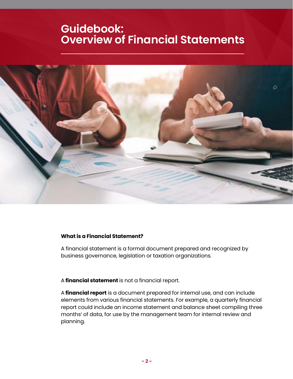# **Guidebook: Overview of Financial Statements**



# **What is a Financial Statement?**

A financial statement is a formal document prepared and recognized by business governance, legislation or taxation organizations.

A **financial statement** is not a financial report.

A **financial report** is a document prepared for internal use, and can include elements from various financial statements. For example, a quarterly financial report could include an income statement and balance sheet compiling three months' of data, for use by the management team for internal review and planning.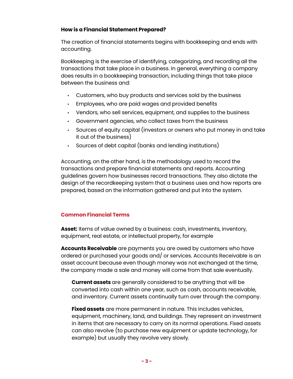# **How is a Financial Statement Prepared?**

The creation of financial statements begins with bookkeeping and ends with accounting.

Bookkeeping is the exercise of identifying, categorizing, and recording all the transactions that take place in a business. In general, everything a company does results in a bookkeeping transaction, including things that take place between the business and:

- Customers, who buy products and services sold by the business
- Employees, who are paid wages and provided benefits
- Vendors, who sell services, equipment, and supplies to the business
- Government agencies, who collect taxes from the business
- Sources of equity capital (investors or owners who put money in and take it out of the business)
- Sources of debt capital (banks and lending institutions)

Accounting, on the other hand, is the methodology used to record the transactions and prepare financial statements and reports. Accounting guidelines govern how businesses record transactions. They also dictate the design of the recordkeeping system that a business uses and how reports are prepared, based on the information gathered and put into the system.

# **Common Financial Terms**

**Asset:** Items of value owned by a business: cash, investments, inventory, equipment, real estate, or intellectual property, for example

**Accounts Receivable** are payments you are owed by customers who have ordered or purchased your goods and/ or services. Accounts Receivable is an asset account because even though money was not exchanged at the time, the company made a sale and money will come from that sale eventually.

**Current assets** are generally considered to be anything that will be converted into cash within one year, such as cash, accounts receivable, and inventory. Current assets continually turn over through the company.

**Fixed assets** are more permanent in nature. This includes vehicles, equipment, machinery, land, and buildings. They represent an investment in items that are necessary to carry on its normal operations. Fixed assets can also revolve (to purchase new equipment or update technology, for example) but usually they revolve very slowly.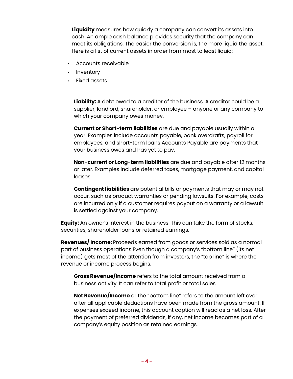**Liquidity** measures how quickly a company can convert its assets into cash. An ample cash balance provides security that the company can meet its obligations. The easier the conversion is, the more liquid the asset. Here is a list of current assets in order from most to least liquid:

- Accounts receivable
- Inventory
- Fixed assets

**Liability:** A debt owed to a creditor of the business. A creditor could be a supplier, landlord, shareholder, or employee – anyone or any company to which your company owes money.

**Current or Short-term liabilities** are due and payable usually within a year. Examples include accounts payable, bank overdrafts, payroll for employees, and short-term loans Accounts Payable are payments that your business owes and has yet to pay.

**Non-current or Long-term liabilities** are due and payable after 12 months or later. Examples include deferred taxes, mortgage payment, and capital leases.

**Contingent liabilities** are potential bills or payments that may or may not occur, such as product warranties or pending lawsuits. For example, costs are incurred only if a customer requires payout on a warranty or a lawsuit is settled against your company.

**Equity:** An owner's interest in the business. This can take the form of stocks, securities, shareholder loans or retained earnings.

**Revenues/ Income:** Proceeds earned from goods or services sold as a normal part of business operations Even though a company's "bottom line" (its net income) gets most of the attention from investors, the "top line" is where the revenue or income process begins.

**Gross Revenue/Income** refers to the total amount received from a business activity. It can refer to total profit or total sales

**Net Revenue/Income** or the "bottom line" refers to the amount left over after all applicable deductions have been made from the gross amount. If expenses exceed income, this account caption will read as a net loss. After the payment of preferred dividends, if any, net income becomes part of a company's equity position as retained earnings.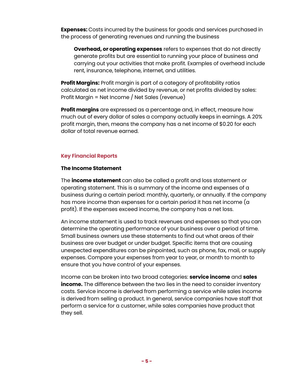**Expenses:** Costs incurred by the business for goods and services purchased in the process of generating revenues and running the business

**Overhead, or operating expenses** refers to expenses that do not directly generate profits but are essential to running your place of business and carrying out your activities that make profit. Examples of overhead include rent, insurance, telephone, internet, and utilities.

**Profit Margins:** Profit margin is part of a category of profitability ratios calculated as net income divided by revenue, or net profits divided by sales: Profit Margin = Net Income / Net Sales (revenue)

**Profit margins** are expressed as a percentage and, in effect, measure how much out of every dollar of sales a company actually keeps in earnings. A 20% profit margin, then, means the company has a net income of \$0.20 for each dollar of total revenue earned.

# **Key Financial Reports**

# **The Income Statement**

The **income statement** can also be called a profit and loss statement or operating statement. This is a summary of the income and expenses of a business during a certain period: monthly, quarterly, or annually. If the company has more income than expenses for a certain period it has net income (a profit). If the expenses exceed income, the company has a net loss.

An income statement is used to track revenues and expenses so that you can determine the operating performance of your business over a period of time. Small business owners use these statements to find out what areas of their business are over budget or under budget. Specific items that are causing unexpected expenditures can be pinpointed, such as phone, fax, mail, or supply expenses. Compare your expenses from year to year, or month to month to ensure that you have control of your expenses.

Income can be broken into two broad categories: **service income** and **sales income.** The difference between the two lies in the need to consider inventory costs. Service income is derived from performing a service while sales income is derived from selling a product. In general, service companies have staff that perform a service for a customer, while sales companies have product that they sell.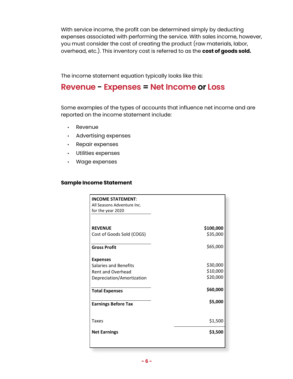With service income, the profit can be determined simply by deducting expenses associated with performing the service. With sales income, however, you must consider the cost of creating the product (raw materials, labor, overhead, etc.). This inventory cost is referred to as the **cost of goods sold.**

The income statement equation typically looks like this:

# **Revenue - Expenses = Net Income or Loss**

Some examples of the types of accounts that influence net income and are reported on the income statement include:

- Revenue
- Advertising expenses
- Repair expenses
- Utilities expenses
- Wage expenses

# **Sample Income Statement**

| <b>INCOME STATEMENT:</b>     |           |
|------------------------------|-----------|
| All Seasons Adventure Inc.   |           |
| for the year 2020            |           |
|                              |           |
| <b>REVENUE</b>               | \$100,000 |
| Cost of Goods Sold (COGS)    | \$35,000  |
|                              |           |
| <b>Gross Profit</b>          | \$65,000  |
|                              |           |
| <b>Expenses</b>              |           |
| <b>Salaries and Benefits</b> | \$30,000  |
| <b>Rent and Overhead</b>     | \$10,000  |
| Depreciation/Amortization    | \$20,000  |
|                              |           |
| <b>Total Expenses</b>        | \$60,000  |
|                              |           |
| <b>Earnings Before Tax</b>   | \$5,000   |
|                              |           |
|                              |           |
| <b>Taxes</b>                 | \$1,500   |
| <b>Net Earnings</b>          | \$3,500   |
|                              |           |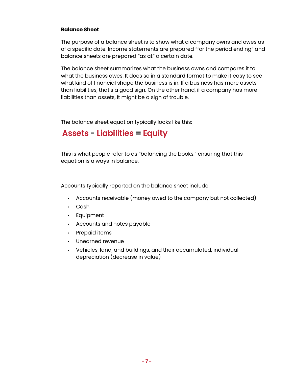# **Balance Sheet**

The purpose of a balance sheet is to show what a company owns and owes as of a specific date. Income statements are prepared "for the period ending" and balance sheets are prepared "as at" a certain date.

The balance sheet summarizes what the business owns and compares it to what the business owes. It does so in a standard format to make it easy to see what kind of financial shape the business is in. If a business has more assets than liabilities, that's a good sign. On the other hand, if a company has more liabilities than assets, it might be a sign of trouble.

The balance sheet equation typically looks like this:

# **Assets - Liabilities = Equity**

This is what people refer to as "balancing the books:" ensuring that this equation is always in balance.

Accounts typically reported on the balance sheet include:

- Accounts receivable (money owed to the company but not collected)
- Cash
- Equipment
- Accounts and notes payable
- Prepaid items
- Unearned revenue
- Vehicles, land, and buildings, and their accumulated, individual depreciation (decrease in value)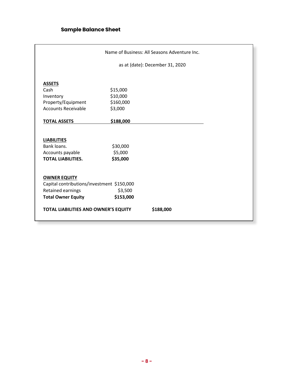|                                            |                                 | Name of Business: All Seasons Adventure Inc. |
|--------------------------------------------|---------------------------------|----------------------------------------------|
|                                            | as at (date): December 31, 2020 |                                              |
|                                            |                                 |                                              |
| <b>ASSETS</b>                              |                                 |                                              |
| Cash                                       | \$15,000                        |                                              |
| Inventory                                  | \$10,000                        |                                              |
| Property/Equipment                         | \$160,000                       |                                              |
| <b>Accounts Receivable</b>                 | \$3,000                         |                                              |
| <b>TOTAL ASSETS</b>                        | \$188,000                       |                                              |
|                                            |                                 |                                              |
| <b>LIABILITIES</b>                         |                                 |                                              |
| Bank loans.                                | \$30,000                        |                                              |
| Accounts payable                           | \$5,000                         |                                              |
| <b>TOTAL LIABILITIES.</b>                  | \$35,000                        |                                              |
|                                            |                                 |                                              |
| <b>OWNER EQUITY</b>                        |                                 |                                              |
| Capital contributions/investment \$150,000 |                                 |                                              |
| Retained earnings                          | \$3,500                         |                                              |
| <b>Total Owner Equity</b>                  | \$153,000                       |                                              |
| TOTAL LIABILITIES AND OWNER'S EQUITY       |                                 | \$188,000                                    |
|                                            |                                 |                                              |
|                                            |                                 |                                              |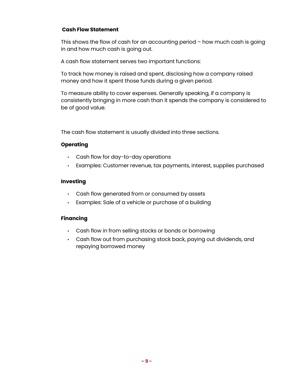# **Cash Flow Statement**

This shows the flow of cash for an accounting period – how much cash is going in and how much cash is going out.

A cash flow statement serves two important functions:

To track how money is raised and spent, disclosing how a company raised money and how it spent those funds during a given period.

To measure ability to cover expenses. Generally speaking, if a company is consistently bringing in more cash than it spends the company is considered to be of good value.

The cash flow statement is usually divided into three sections.

# **Operating**

- Cash flow for day-to-day operations
- Examples: Customer revenue, tax payments, interest, supplies purchased

# **Investing**

- Cash flow generated from or consumed by assets
- Examples: Sale of a vehicle or purchase of a building

# **Financing**

- Cash flow in from selling stocks or bonds or borrowing
- Cash flow out from purchasing stock back, paying out dividends, and repaying borrowed money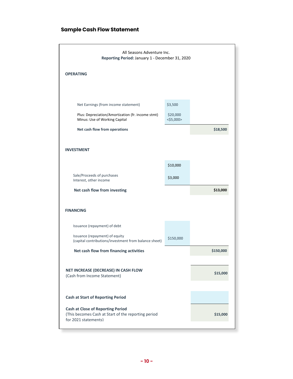### **Sample Cash Flow Statement**